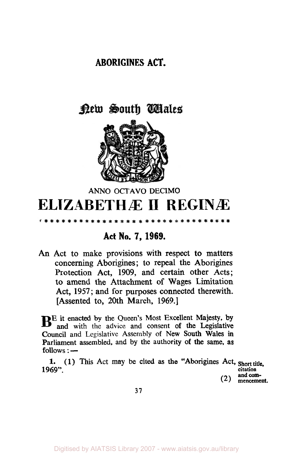## **ABORIGINES ACT.**

## <u>Pew South Wales</u>



## **ANN0 OCTAVO DECIMO ELIZABETHÆ II REGINÆ**

## **Act No. 7, 1969.**

\* \* \* \* \* \* \* \* \* \* \* \* \*

**An Act to make provisions with respect to matters concerning Aborigines** ; **to repeal the Aborigines Protection Act, 1909, and certain other Acts; to amend the Attachment of Wages Limitation Act, 1957; and for purposes connected therewith. [Assented to, 20th March, 1969.]** 

**BE it enacted by the Queen's Most Excellent Majesty, by and** with **the advice and consent of the Legislative Council and Legislative Assembly of New South Wales in Parliament assembled, and by the authority of the same, as follows** :

**1. 1969".**  (1) **This Act may be cited as the "Aborigines Act, Short title,** 

**citation and com-** (2) **mencement.** 

**37**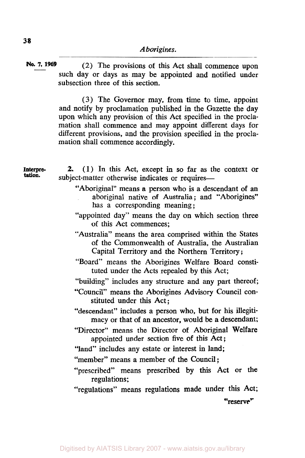**No.** *7,* **1969** (2) The provisions of this Act shall commence upon such day or days as may be appointed and notified under subsection three of this section.

> (3) The Governor may, from time to time, appoint and notify by proclamation published in the Gazette the day upon which any provision of this Act specified in the proclamation shall commence and may appoint different days for different provisions, and the provision specified in the proclamation shall commence accordingly.

| Interpre-<br>tation. | 2. (1) In this Act, except in so far as the context or<br>subject-matter otherwise indicates or requires-                                                   |
|----------------------|-------------------------------------------------------------------------------------------------------------------------------------------------------------|
|                      | "Aboriginal" means a person who is a descendant of an<br>aboriginal native of Australia; and "Aborigines"<br>has a corresponding meaning;                   |
|                      | "appointed day" means the day on which section three<br>of this Act commences;                                                                              |
|                      | "Australia" means the area comprised within the States<br>of the Commonwealth of Australia, the Australian<br>Capital Territory and the Northern Territory; |
|                      | "Board" means the Aborigines Welfare Board consti-<br>tuted under the Acts repealed by this Act;                                                            |
|                      | "building" includes any structure and any part thereof;                                                                                                     |
|                      | "Council" means the Aborigines Advisory Council con-<br>stituted under this Act;                                                                            |
|                      | "descendant" includes a person who, but for his illegiti-<br>macy or that of an ancestor, would be a descendant;                                            |
|                      | "Director" means the Director of Aboriginal Welfare<br>appointed under section five of this Act;                                                            |
|                      | "land" includes any estate or interest in land;                                                                                                             |
|                      | "member" means a member of the Council;                                                                                                                     |
|                      | "prescribed" means prescribed by this Act or the<br>regulations;                                                                                            |
|                      | "regulations" means regulations made under this Act;                                                                                                        |
|                      | "reserve"                                                                                                                                                   |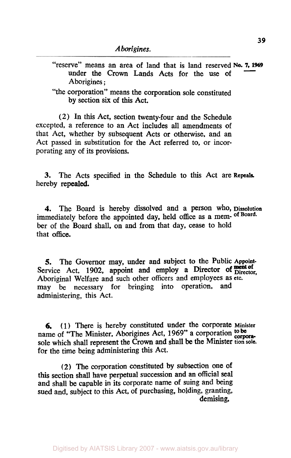"reserve" means an area of land that is land reserved **No.** *7,* <sup>1969</sup> under the Crown Lands Acts for the use of Aborigines ;

"the corporation" means the corporation sole constituted by section six of this Act.

**(2)** In this Act, section twenty-four and the Schedule excepted, a reference to an Act includes all amendments of that Act, whether by subsequent Acts or otherwise, and an Act passed in substitution for the Act referred to, or incorporating any of its provisions.

**3.** The Acts specified in the Schedule to this Act are **Repeals.**  hereby repealed.

**4.** The Board is hereby dissolved and a person who, Dissolution immediately before the appointed day, held office as a mem- **of Board.**  ber of the Board shall, on and from that day, cease to hold that office.

*5.* The Governor may, under and subject to the Public Appoint-Service Act, 1902, appoint and employ a Director of ment of Aboriginal Welfare and such other officers and employees as etc. may be necessary for bringing into operation, and administering, this Act.

**6. (1)** There is hereby constituted under the corporate Minister name of "The Minister, Aborigines Act, 1969" a corporation to be sole which shall represent the Crown and shall be the Minister **tion sole.**  for the time being administering this Act.

(2) The corporation constituted by subsection one of this section shall have perpetual succession and an official seal and shall be capable in its corporate name of suing and being sued and, subject to this Act, of purchasing, holding, granting, demising,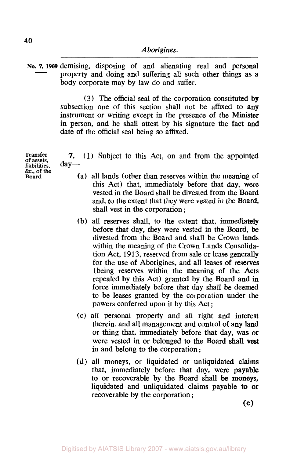**NO. 7, 1969** demising, disposing of and alienating real and personal property and doing and suffering all such other things as a body corporate may by law do and suffer.

> **(3)** The official seal of the corporation constituted **by**  subsection one of this section shall not be affixed to any instrument or writing except in the presence of the Minister in person, and he shall attest by his signature the fact **and**  date of the official seal being *so* affixed.

**Transfer of assets, liabilities,** day- **&c., of the Board.** 

*7.* (1) Subject to this Act, on and from the appointed

- (a) all lands (other than reserves within the meaning of this Act) that, immediately before that day, were vested in the Board shall be divested from the Board and, to the extent that they were vested in the Board, shall vest in the corporation ;
- (b) all reserves shall, to the extent that, immediately before that day, they were vested in the Board, **be**  divested from the Board and shall be Crown lands within the meaning of the Crown Lands Consolidation Act, 1913, reserved from sale or lease generally for the use of Aborigines, and all leases **of** reserves (being reserves within the meaning of the Acts repealed by this Act) granted by the Board and in force immediately before that day shall be deemed to be leases granted by the corporation under the powers conferred upon it by this Act ;
- (c) all personal property and all right and interest therein, and all management and control of any **land**  or thing that, immediately before that day, was **or**  were vested **in** or belonged **to** the Board shall **vest**  in and belong to the corporation ;
- (d) all moneys, or liquidated or unliquidated claims that, immediately before that day, were payable to or recoverable by the Board shall be moneys, liquidated and unliquidated claims payable to **or**  recoverable by the corporation ;

(e)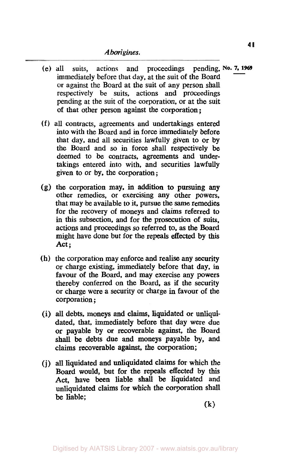- (e) all suits, actions and proceedings pending, **No. 7, 1969**  immediately before that day, at the suit of the Board or against the Board at the suit of any person shall respectively be suits, actions and proceedings pending at the suit of the corporation, or at the suit of that other person against the corporation;
- (f) all contracts, agreements and undertakings entered into with the Board and in force immediately before that day, and all securities lawfully given to or by the Board and *so* in force shall respectively be deemed to be contracts, agreements and undertakings entered into with, and securities lawfully given to or by, the corporation ;
- **(g)** the corporation may, in addition to pursuing any other remedies, or exercising any other powers, that may be available to it, pursue the same remedies for the recovery of moneys and claims referred to in this subsection, and for the prosecution of suits, actions and proceedings so referred to, **as** the **Board**  might have done but for the repeals effected by this Act ;
- (h) the corporation may enforce and realise any security or charge existing, immediately before that day, in favour of the Board, and may exercise any powers thereby conferred on the Board, as if the security or charge were a security or charge in favour of the corporation ;
- (i) all debts, moneys and claims, liquidated or unliquidated, that, immediately before that day were due or payable by or recoverable against, the Board **shall** be debts due and moneys payable by, and claims recoverable against, the corporation;
- **(j) all** liquidated and unliquidated claims for which the Board would, but for the repeals effected by this Act, have **been** liable **shall** be liquidated and unliquidated claims for which the corporation shall be liable;

**(k)**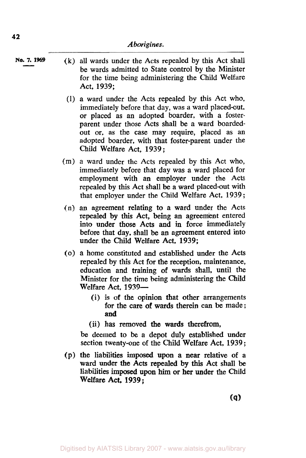- **No.** *7,* **1969 (k)** all wards under the Acts repealed by this Act shall be wards admitted to State control by the Minister for the time being administering the Child Welfare Act, **1939;** 
	- (1) a ward under the Acts repealed by this Act who, immediately before that day, was a ward placed-out. or placed as an adopted boarder, with a fosterparent under those Acts shall be a ward boardedout or, as the case may require, placed as an adopted boarder, with that foster-parent under the Child Welfare Act, **1939;**
	- (m) a ward under the Acts repealed by this Act who, immediately before that day was a ward placed for employment **with** an employer under the Acts repealed by this Act shall be a ward placed-out with that employer under the Child Welfare Act, **<sup>1939</sup>**;
	- (n) an agreement relating to a ward under the Acts repealed by this Act, being an agreement entered into under those Acts and in force immediately before that day, shall be **an** agreement entered into under the Child Welfare Act, **1939;**
	- *(0)* a home constituted and established under the Acts repealed by this Act for the reception, maintenance, education and training of wards shall, until the Minister for the time being administering the Child Welfare Act, **1939-** 
		- (i) is of the opinion that other arrangements for the care of wards therein can be made ; **and**
		- (ii) has removed **the** wards therefrom,

be deemed to be a depot duly established under section twenty-one of the Child Welfare Act, **1939;** 

(p) the liabilities imposed upon **a** near relative of a ward under the Acts repealed **by** this Act shall be liabilities imposed upon **him** or her under the Child Welfare Act, **1939;**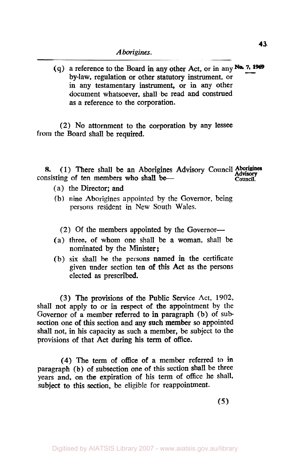(q) a reference to the Board in any other Act, or in any No. 7, 1969 by-law, regulation or other statutory instrument, or in any testamentary instrument, or in any other document whatsoever, shall be read and construed as a reference to the corporation.

(2) No attornment to the corporation by any lessee from the Board shall be required.

8. (1) There shall be an Aborigines Advisory Council Aborigines consisting of ten members who shall be-

- (a) the Director; and
- (b) nine Aborigines appointed by the Governor, being persons resident in New South Wales.

 $(2)$  Of the members appointed by the Governor-

- (a) three, of whom one shall be a woman, shall be nominated by the Minister;
- (b) six shall be the persons named in the certificate given under section ten of this Act as the persons elected as prescribed.

(3) The provisions of the Public Service Act, 1902, shall not apply to or in respect of the appointment by the Governor of a member referred to in paragraph (b) of subsection one of this section and any such member so appointed shall not, in his capacity **as** such a member, be subject to the provisions of that Act during his term of office.

**(4)** The term of office of a member referred to in paragraph (b) of subsection one of this section shall be three years and, on the expiration of his term of office he shall, subject to this section, be eligible for reappointment.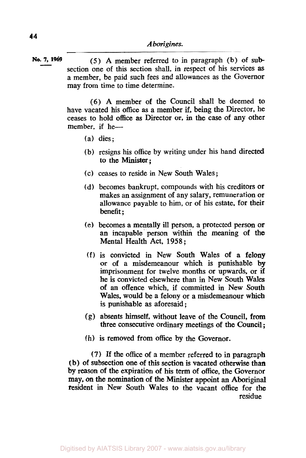**No.** *7,* **1969** *(5)* A member referred to in paragraph (b) of sub section one of this section shall, in respect of his services **as**  a member, be paid such fees and allowances **as** the Governor may from time to time determine.

> (6) A member of the Council shall be deemed to have vacated his office **as** a member if, being the Director, he ceases to hold **office as** Director or, in the case of any other member, if he-

- (a) dies;
- (b) resigns his office by writing under his hand directed to the Minister;
- (c) ceases to reside in New South Wales;
- (d) becomes bankrupt, compounds with his creditors or makes an assignment of any salary, remuneration or allowance payable to him, or of his estate, for their benefit ;
- (e) becomes a mentally ill person, a protected person or an incapable' person within the meaning of the Mental Health Act, **1958** ;
- (f) is convicted in New South Wales of a felony or of a misdemeanour which is punishable by imprisonment for twelve months or upwards, or if he is convicted elsewhere than in New South Wales of an offence which, if committed in New South Wales, would be a felony or a misdemeanour which is punishable as aforesaid ;
- **(g)** absents himself, without leave of the Council, from three consecutive ordinary meetings of the Council ;
- (h) is removed from office by the Governor.

**(7)** If the office of a member referred to in paragraph (b) of subsection one of this section is vacated otherwise than by reason of the expiration of his term of office, the Governor **may,** on **the** nomination of the Minister appoint an Aboriginal resident in New South Wales to the vacant office for **the**  residue